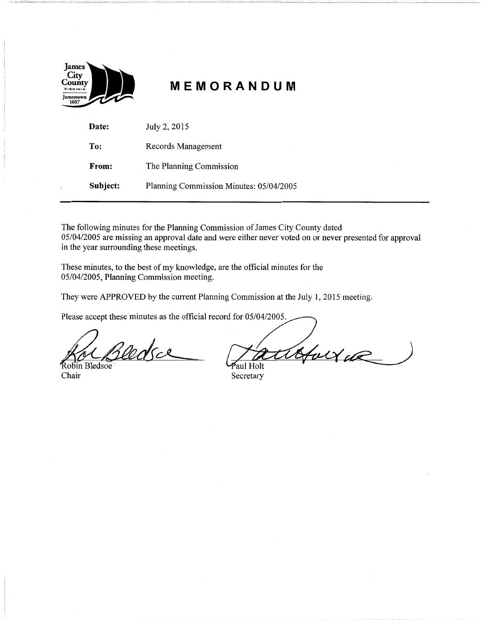| James<br>City<br>County<br>VIRGINIA |       |
|-------------------------------------|-------|
| ANG<br>Jamestown<br>1607            | M E M |

# **MEMORANDUM**

| Date:    | July 2, 2015                            |
|----------|-----------------------------------------|
| To:      | Records Management                      |
| From:    | The Planning Commission                 |
| Subject: | Planning Commission Minutes: 05/04/2005 |

The following minutes for the Planning Commission of James City County dated 05/04/2005 are missing an approval date and were either never voted on or never presented for approval in the year surrounding these meetings.

These minutes, to the best of my knowledge, are the official minutes for the 05/04/2005, Planning Commission meeting.

They were APPROVED by the current Planning Commission at the July 1, 2015 meeting.

Please accept these minutes as the official record for 05/04/2005.

Cedra

Robin Bledsoe Chair Secretary

Holte

Paul Holt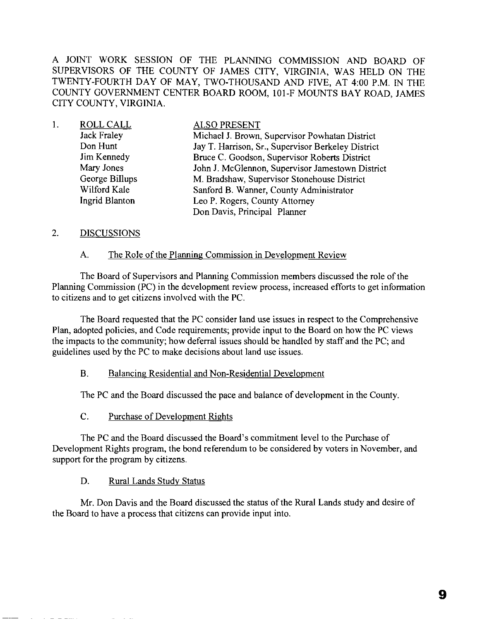A JOINT WORK SESSION OF THE PLANNING COMMISSION AND BOARD OF SUPERVISORS OF THE COUNTY OF JAMES CITY, VIRGINIA, WAS HELD ON THE TWENTY-FOURTH DAY OF MAY, TWO-THOUSAND AND FIVE, AT 4:00 P.M. IN THE COUNTY GOVERNMENT CENTER BOARD ROOM, 101-F MOUNTS BAY ROAD, JAMES CITY COUNTY, VIRGINIA.

| 1. | ROLL CALL          | <b>ALSO PRESENT</b>                                |
|----|--------------------|----------------------------------------------------|
|    | <b>Jack Fraley</b> | Michael J. Brown, Supervisor Powhatan District     |
|    | Don Hunt           | Jay T. Harrison, Sr., Supervisor Berkeley District |
|    | <b>Jim Kennedy</b> | Bruce C. Goodson, Supervisor Roberts District      |
|    | Mary Jones         | John J. McGlennon, Supervisor Jamestown District   |
|    | George Billups     | M. Bradshaw, Supervisor Stonehouse District        |
|    | Wilford Kale       | Sanford B. Wanner, County Administrator            |
|    | Ingrid Blanton     | Leo P. Rogers, County Attorney                     |
|    |                    | Don Davis, Principal Planner                       |

#### 2. DISCUSSIONS

#### A. The Role of the Planning Commission in Development Review

The Board of Supervisors and Planning Commission members discussed the role of the Planning Commission (PC) in the development review process, increased efforts to get information to citizens and to get citizens involved with the PC.

The Board requested that the PC consider land use issues in respect to the Comprehensive Plan, adopted policies, and Code requirements; provide input to the Board on how the PC views the impacts to the community; how deferral issues should be handled by staff and the PC; and guidelines used by the PC to make decisions about land use issues.

### B. Balancing Residential and Non-Residential Development

The PC and the Board discussed the pace and balance of development in the County.

C. Purchase of Development Rights

The PC and the Board discussed the Board's commitment level to the Purchase of Development Rights program, the bond referendum to be considered by voters in November, and support for the program by citizens.

D. Rural Lands Study Status

Mr. Don Davis and the Board discussed the status of the Rural Lands study and desire of the Board to have a process that citizens can provide input into.